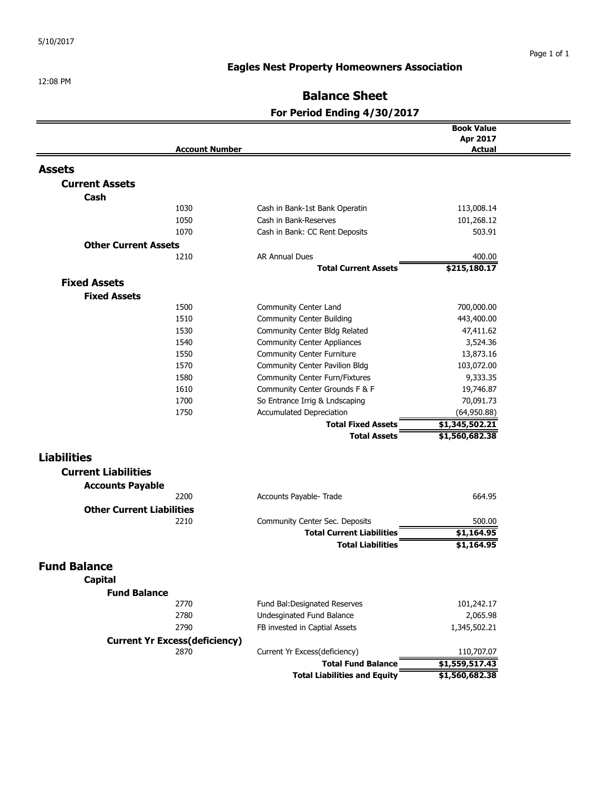# **Eagles Nest Property Homeowners Association**

# **Balance Sheet**

# **For Period Ending 4/30/2017**

|                                      |                                       | <b>Book Value</b>    |  |
|--------------------------------------|---------------------------------------|----------------------|--|
|                                      |                                       | Apr 2017             |  |
| <b>Account Number</b>                |                                       | <b>Actual</b>        |  |
| <b>Assets</b>                        |                                       |                      |  |
| <b>Current Assets</b>                |                                       |                      |  |
| Cash                                 |                                       |                      |  |
| 1030                                 | Cash in Bank-1st Bank Operatin        | 113,008.14           |  |
| 1050                                 | Cash in Bank-Reserves                 |                      |  |
| 1070                                 | Cash in Bank: CC Rent Deposits        | 101,268.12<br>503.91 |  |
|                                      |                                       |                      |  |
| <b>Other Current Assets</b>          |                                       |                      |  |
| 1210                                 | <b>AR Annual Dues</b>                 | 400.00               |  |
|                                      | <b>Total Current Assets</b>           | \$215,180.17         |  |
| <b>Fixed Assets</b>                  |                                       |                      |  |
| <b>Fixed Assets</b>                  |                                       |                      |  |
| 1500                                 | Community Center Land                 | 700,000.00           |  |
| 1510                                 | <b>Community Center Building</b>      | 443,400.00           |  |
| 1530                                 | Community Center Bldg Related         | 47,411.62            |  |
| 1540                                 | <b>Community Center Appliances</b>    | 3,524.36             |  |
| 1550                                 | <b>Community Center Furniture</b>     | 13,873.16            |  |
| 1570                                 | <b>Community Center Pavilion Bldg</b> | 103,072.00           |  |
| 1580                                 | <b>Community Center Furn/Fixtures</b> | 9,333.35             |  |
| 1610                                 | Community Center Grounds F & F        | 19,746.87            |  |
| 1700                                 | So Entrance Irrig & Lndscaping        | 70,091.73            |  |
| 1750                                 | Accumulated Depreciation              | (64,950.88)          |  |
|                                      | <b>Total Fixed Assets</b>             | \$1,345,502.21       |  |
|                                      | <b>Total Assets</b>                   | \$1,560,682.38       |  |
| <b>Liabilities</b>                   |                                       |                      |  |
| <b>Current Liabilities</b>           |                                       |                      |  |
|                                      |                                       |                      |  |
| <b>Accounts Payable</b>              |                                       |                      |  |
| 2200                                 | Accounts Payable- Trade               | 664.95               |  |
| <b>Other Current Liabilities</b>     |                                       |                      |  |
| 2210                                 | Community Center Sec. Deposits        | 500.00               |  |
|                                      | <b>Total Current Liabilities</b>      | \$1,164.95           |  |
|                                      | <b>Total Liabilities</b>              | \$1,164.95           |  |
| <b>Fund Balance</b>                  |                                       |                      |  |
| Capital                              |                                       |                      |  |
| <b>Fund Balance</b>                  |                                       |                      |  |
| 2770                                 | Fund Bal: Designated Reserves         | 101,242.17           |  |
| 2780                                 | Undesginated Fund Balance             | 2,065.98             |  |
| 2790                                 | FB invested in Captial Assets         | 1,345,502.21         |  |
| <b>Current Yr Excess(deficiency)</b> |                                       |                      |  |
| 2870                                 | Current Yr Excess(deficiency)         | 110,707.07           |  |
|                                      | <b>Total Fund Balance</b>             | \$1,559,517.43       |  |
|                                      | <b>Total Liabilities and Equity</b>   | \$1,560,682.38       |  |
|                                      |                                       |                      |  |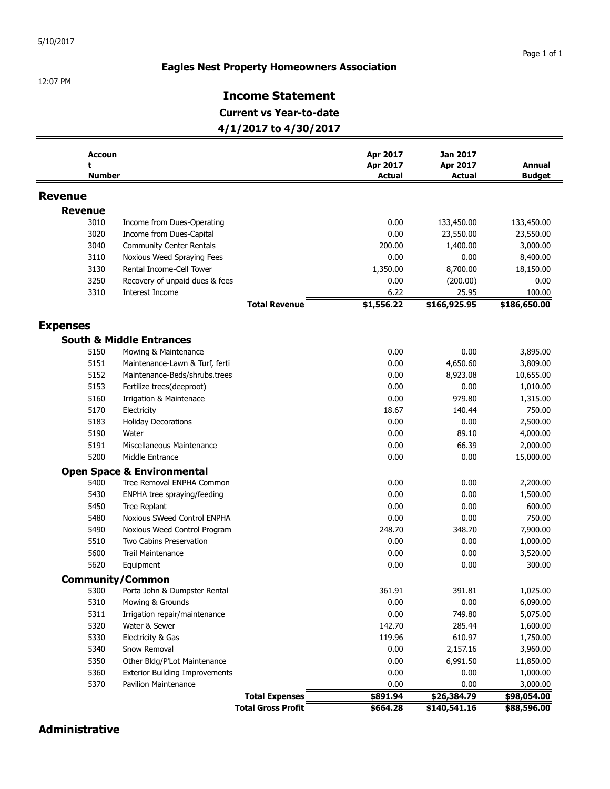#### **Eagles Nest Property Homeowners Association**

12:07 PM

## **Income Statement**

**Current vs Year-to-date**

**4/1/2017 to 4/30/2017**

| <b>Accoun</b><br>t |                                       | Apr 2017<br>Apr 2017 | <b>Jan 2017</b><br>Apr 2017 | Annual        |
|--------------------|---------------------------------------|----------------------|-----------------------------|---------------|
| <b>Number</b>      |                                       | <b>Actual</b>        | <b>Actual</b>               | <b>Budget</b> |
| <b>Revenue</b>     |                                       |                      |                             |               |
| <b>Revenue</b>     |                                       |                      |                             |               |
| 3010               | Income from Dues-Operating            | 0.00                 | 133,450.00                  | 133,450.00    |
| 3020               | Income from Dues-Capital              | 0.00                 | 23,550.00                   | 23,550.00     |
| 3040               | <b>Community Center Rentals</b>       | 200.00               | 1,400.00                    | 3,000.00      |
| 3110               | Noxious Weed Spraying Fees            | 0.00                 | 0.00                        | 8,400.00      |
| 3130               | Rental Income-Cell Tower              | 1,350.00             | 8,700.00                    | 18,150.00     |
| 3250               | Recovery of unpaid dues & fees        | 0.00                 | (200.00)                    | 0.00          |
| 3310               | Interest Income                       | 6.22                 | 25.95                       | 100.00        |
|                    | <b>Total Revenue</b>                  | \$1,556.22           | \$166,925.95                | \$186,650.00  |
| <b>Expenses</b>    |                                       |                      |                             |               |
|                    | <b>South &amp; Middle Entrances</b>   |                      |                             |               |
| 5150               | Mowing & Maintenance                  | 0.00                 | 0.00                        | 3,895.00      |
| 5151               | Maintenance-Lawn & Turf, ferti        | 0.00                 | 4,650.60                    | 3,809.00      |
| 5152               | Maintenance-Beds/shrubs.trees         | 0.00                 | 8,923.08                    | 10,655.00     |
| 5153               | Fertilize trees(deeproot)             | 0.00                 | 0.00                        | 1,010.00      |
| 5160               | <b>Irrigation &amp; Maintenace</b>    | 0.00                 | 979.80                      | 1,315.00      |
| 5170               | Electricity                           | 18.67                | 140.44                      | 750.00        |
| 5183               | <b>Holiday Decorations</b>            | 0.00                 | 0.00                        | 2,500.00      |
| 5190               | Water                                 | 0.00                 | 89.10                       | 4,000.00      |
| 5191               | Miscellaneous Maintenance             | 0.00                 | 66.39                       | 2,000.00      |
| 5200               | Middle Entrance                       | 0.00                 | 0.00                        | 15,000.00     |
|                    | <b>Open Space &amp; Environmental</b> |                      |                             |               |
| 5400               | Tree Removal ENPHA Common             | 0.00                 | 0.00                        | 2,200.00      |
| 5430               | ENPHA tree spraying/feeding           | 0.00                 | 0.00                        | 1,500.00      |
| 5450               | Tree Replant                          | 0.00                 | 0.00                        | 600.00        |
| 5480               | Noxious SWeed Control ENPHA           | 0.00                 | 0.00                        | 750.00        |
| 5490               | Noxious Weed Control Program          | 248.70               | 348.70                      | 7,900.00      |
| 5510               | Two Cabins Preservation               | 0.00                 | 0.00                        | 1,000.00      |
| 5600               | <b>Trail Maintenance</b>              | 0.00                 | 0.00                        | 3,520.00      |
| 5620               | Equipment                             | 0.00                 | 0.00                        | 300.00        |
|                    | <b>Community/Common</b>               |                      |                             |               |
| 5300               | Porta John & Dumpster Rental          | 361.91               | 391.81                      | 1,025.00      |
| 5310               | Mowing & Grounds                      | 0.00                 | 0.00                        | 6,090.00      |
| 5311               | Irrigation repair/maintenance         | 0.00                 | 749.80                      | 5,075.00      |
| 5320               | Water & Sewer                         | 142.70               | 285.44                      | 1,600.00      |
| 5330               | Electricity & Gas                     | 119.96               | 610.97                      | 1,750.00      |
| 5340               | Snow Removal                          | 0.00                 | 2,157.16                    | 3,960.00      |
| 5350               | Other Bldg/P'Lot Maintenance          | 0.00                 | 6,991.50                    | 11,850.00     |
| 5360               | <b>Exterior Building Improvements</b> | 0.00                 | 0.00                        | 1,000.00      |
| 5370               | <b>Pavilion Maintenance</b>           | 0.00                 | 0.00                        | 3,000.00      |
|                    | <b>Total Expenses</b>                 | \$891.94             | \$26,384.79                 | \$98,054.00   |
|                    | <b>Total Gross Profit</b>             | \$664.28             | \$140,541.16                | \$88,596.00   |

**Administrative**